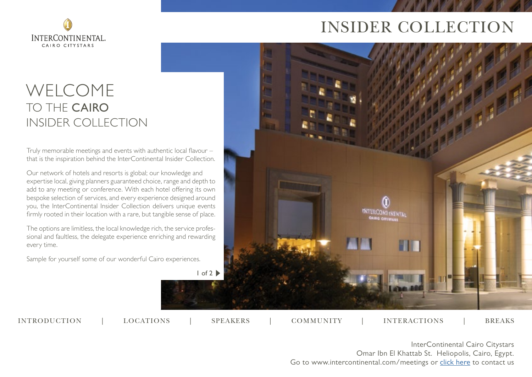

# INSIDER COLLECTION

# WELCOME TO THE CAIRO INSIDER COLLECTION

Truly memorable meetings and events with authentic local flavour – that is the inspiration behind the InterContinental Insider Collection.

Our network of hotels and resorts is global; our knowledge and expertise local, giving planners guaranteed choice, range and depth to add to any meeting or conference. With each hotel offering its own bespoke selection of services, and every experience designed around you, the InterContinental Insider Collection delivers unique events firmly rooted in their location with a rare, but tangible sense of place.

The options are limitless, the local knowledge rich, the service professional and faultless, the delegate experience enriching and rewarding every time.

Sample for yourself some of our wonderful Cairo experiences.



INTRODUCTION | LOCATIONS | SPEAKERS | COMMUNITY | INTERACTIONS | BREAKS

LOCATIONS | SPEAKERS | COMMUNITY | INTERACTIONS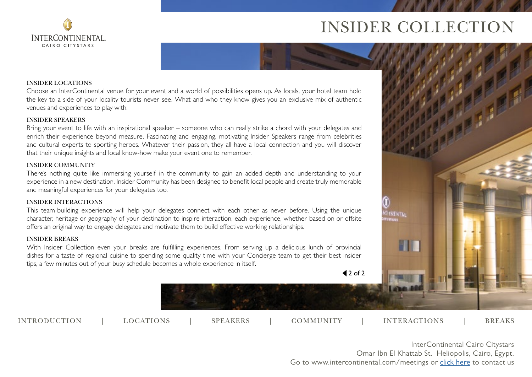



**INTERCONTINENTAL** CAIRO CITYSTARS

Choose an InterContinental venue for your event and a world of possibilities opens up. As locals, your hotel team hold the key to a side of your locality tourists never see. What and who they know gives you an exclusive mix of authentic venues and experiences to play with.

#### INSIDER SPEAKERS

Bring your event to life with an inspirational speaker – someone who can really strike a chord with your delegates and enrich their experience beyond measure. Fascinating and engaging, motivating Insider Speakers range from celebrities and cultural experts to sporting heroes. Whatever their passion, they all have a local connection and you will discover that their unique insights and local know-how make your event one to remember.

#### INSIDER COMMUNITY

There's nothing quite like immersing yourself in the community to gain an added depth and understanding to your experience in a new destination. Insider Community has been designed to benefit local people and create truly memorable and meaningful experiences for your delegates too.

#### INSIDER INTERACTIONS

This team-building experience will help your delegates connect with each other as never before. Using the unique character, heritage or geography of your destination to inspire interaction, each experience, whether based on or offsite offers an original way to engage delegates and motivate them to build effective working relationships.

#### INSIDER BREAKS

With Insider Collection even your breaks are fulfilling experiences. From serving up a delicious lunch of provincial dishes for a taste of regional cuisine to spending some quality time with your Concierge team to get their best insider tips, a few minutes out of your busy schedule becomes a whole experience in itself.

 $42$  of 2

INTRODUCTION | LOCATIONS | SPEAKERS | COMMUNITY | INTERACTIONS | BREAKS

**NT INENTAL**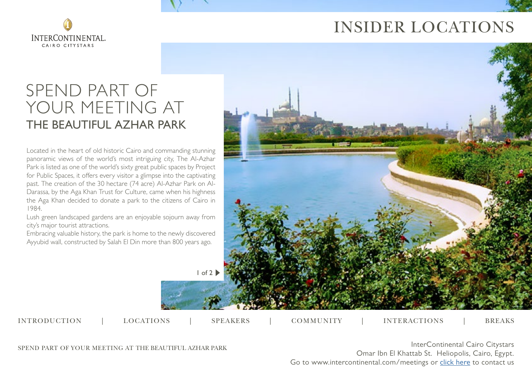

# INSIDER LOCATIONS

# SPEND PART OF YOUR MEETING AT THE BEAUTIFUL AZHAR PARK

Located in the heart of old historic Cairo and commanding stunning panoramic views of the world's most intriguing city, The Al-Azhar Park is listed as one of the world's sixty great public spaces by Project for Public Spaces, it offers every visitor a glimpse into the captivating past. The creation of the 30 hectare (74 acre) Al-Azhar Park on Al-Darassa, by the Aga Khan Trust for Culture, came when his highness the Aga Khan decided to donate a park to the citizens of Cairo in 1984.

Lush green landscaped gardens are an enjoyable sojourn away from city's major tourist attractions.

Embracing valuable history, the park is home to the newly discovered Ayyubid wall, constructed by Salah El Din more than 800 years ago.



INTRODUCTION | LOCATIONS | SPEAKERS | COMMUNITY | INTERACTIONS | BREAKS

LOCATIONS | SPEAKERS | COMMUNITY | INTERACTIONS

SPEND PART OF YOUR MEETING AT THE BEAUTIFUL AZHAR PARK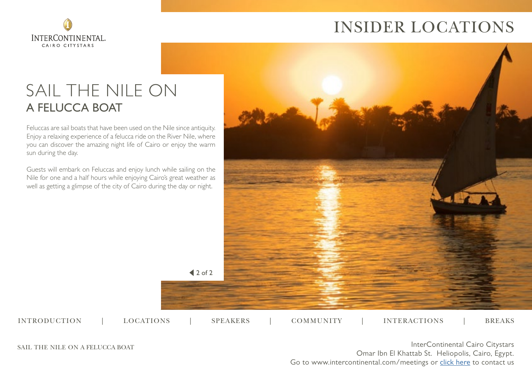

# INSIDER LOCATIONS

# SAIL THE NILE ON A FELUCCA BOAT

Feluccas are sail boats that have been used on the Nile since antiquity. Enjoy a relaxing experience of a felucca ride on the River Nile, where you can discover the amazing night life of Cairo or enjoy the warm sun during the day.

Guests will embark on Feluccas and enjoy lunch while sailing on the Nile for one and a half hours while enjoying Cairo's great weather as well as getting a glimpse of the city of Cairo during the day or night.

 $42$  of 2

LOCATIONS | SPEAKERS | COMMUNITY | INTERACTIONS

INTRODUCTION | LOCATIONS | SPEAKERS | COMMUNITY | INTERACTIONS | BREAKS



SAIL THE NILE ON A FELUCCA BOAT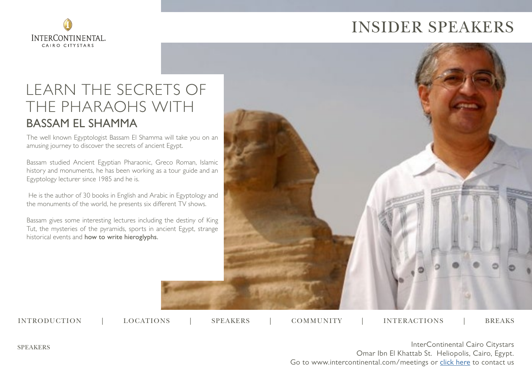



# LEARN THE SECRETS OF THE PHARAOHS WITH BASSAM EL SHAMMA

The well known Egyptologist Bassam El Shamma will take you on an amusing journey to discover the secrets of ancient Egypt.

Bassam studied Ancient Egyptian Pharaonic, Greco Roman, Islamic history and monuments, he has been working as a tour guide and an Egyptology lecturer since 1985 and he is.

 He is the author of 30 books in English and Arabic in Egyptology and the monuments of the world, he presents six different TV shows.

Bassam gives some interesting lectures including the destiny of King Tut, the mysteries of the pyramids, sports in ancient Egypt, strange historical events and how to write hieroglyphs.



INTRODUCTION | LOCATIONS | SPEAKERS | COMMUNITY | INTERACTIONS | BREAKS

LOCATIONS | SPEAKERS | COMMUNITY | INTERACTIONS

SPEAKERS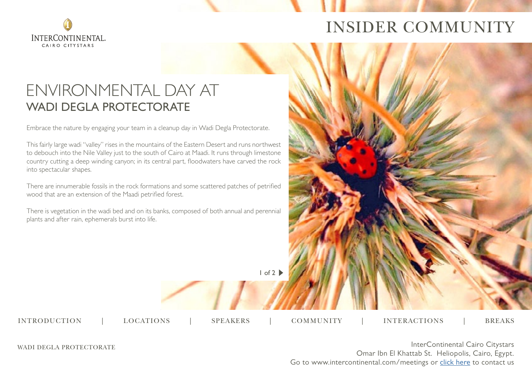

# INSIDER COMMUNITY

## ENVIRONMENTAL DAY AT WADI DEGLA PROTECTORATE

Embrace the nature by engaging your team in a cleanup day in Wadi Degla Protectorate.

This fairly large wadi "valley" rises in the mountains of the Eastern Desert and runs northwest to debouch into the Nile Valley just to the south of Cairo at Maadi. It runs through limestone country cutting a deep winding canyon; in its central part, floodwaters have carved the rock into spectacular shapes.

There are innumerable fossils in the rock formations and some scattered patches of petrified wood that are an extension of the Maadi petrified forest.

There is vegetation in the wadi bed and on its banks, composed of both annual and perennial plants and after rain, ephemerals burst into life.

1 of 2

INTRODUCTION | LOCATIONS | SPEAKERS | COMMUNITY | INTERACTIONS | BREAKS

LOCATIONS | SPEAKERS | COMMUNITY | INTERACTIONS

WADI DEGLA PROTECTORATE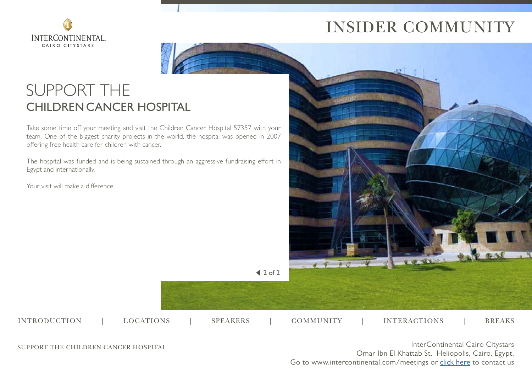

# INSIDER COMMUNITY

# SUPPORT THE CHILDRENCANCER HOSPITAL

Take some time off your meeting and visit the Children Cancer Hospital 57357 with your team. One of the biggest charity projects in the world, the hospital was opened in 2007 offering free health care for children with cancer.

The hospital was funded and is being sustained through an aggressive fundraising effort in Egypt and internationally.

Your visit will make a difference.



 $\triangleleft 2$  of 2

SUPPORT THE CHILDREN CANCER HOSPITAL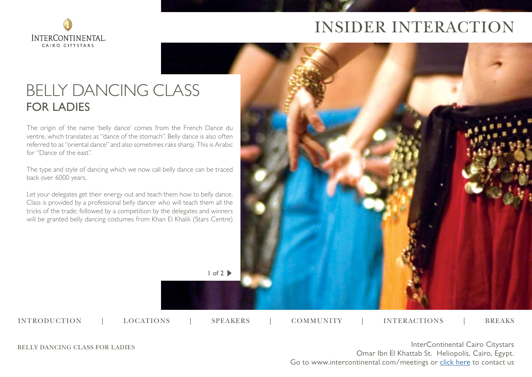

# INSIDER INTERACTION

# BELLY DANCING CLASS FOR LADIES

The origin of the name 'belly dance' comes from the French Dance du ventre, which translates as "dance of the stomach". Belly dance is also often referred to as "oriental dance" and also sometimes raks sharqi. This is Arabic for "Dance of the east".

The type and style of dancing which we now call belly dance can be traced back over 6000 years.

Let your delegates get their energy out and teach them how to belly dance. Class is provided by a professional belly dancer who will teach them all the tricks of the trade; followed by a competition by the delegates and winners will be granted belly dancing costumes from Khan El Khalili (Stars Centre)



INTRODUCTION | LOCATIONS | SPEAKERS | COMMUNITY | INTERACTIONS | BREAKS

LOCATIONS | SPEAKERS | COMMUNITY | INTERACTIONS

BELLY DANCING CLASS FOR LADIES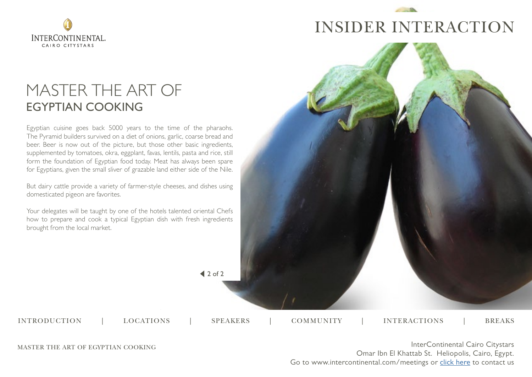

# INSIDER INTERACTION

# MASTER THE ART OF EGYPTIAN COOKING

Egyptian cuisine goes back 5000 years to the time of the pharaohs. The Pyramid builders survived on a diet of onions, garlic, coarse bread and beer. Beer is now out of the picture, but those other basic ingredients, supplemented by tomatoes, okra, eggplant, favas, lentils, pasta and rice, still form the foundation of Egyptian food today. Meat has always been spare for Egyptians, given the small sliver of grazable land either side of the Nile.

But dairy cattle provide a variety of farmer-style cheeses, and dishes using domesticated pigeon are favorites.

Your delegates will be taught by one of the hotels talented oriental Chefs how to prepare and cook a typical Egyptian dish with fresh ingredients brought from the local market.



 $42$  of 2

LOCATIONS | SPEAKERS | COMMUNITY | INTERACTIONS INTRODUCTION | LOCATIONS | SPEAKERS | COMMUNITY | INTERACTIONS | BREAKS

MASTER THE ART OF EGYPTIAN COOKING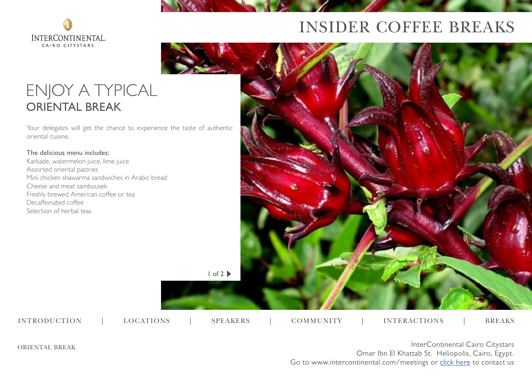

# INSIDER COFFEE BREAKS

# ENJOY A TYPICAL ORIENTAL BREAK

Your delegates will get the chance to experience the taste of authentic oriental cuisine.

### The delicious menu includes:

Karkade, watermelon juice, lime juice Assorted oriental pastries Mini chicken shawarma sandwiches in Arabic bread Cheese and meat sambousek Freshly brewed American coffee or tea Decaffeinated coffee Selection of herbal teas



ORIENTAL BREAK